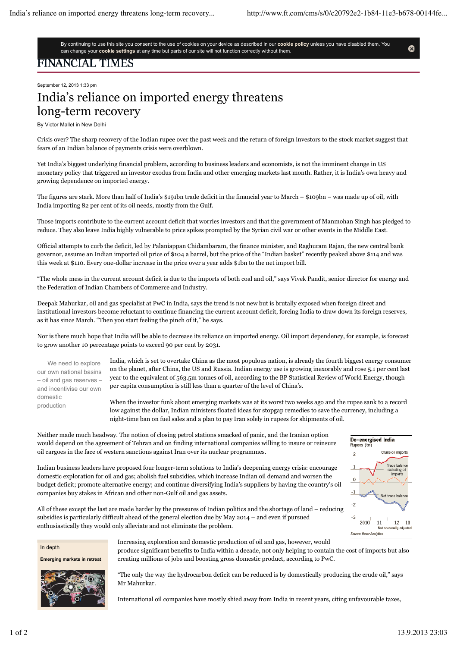Ø

By continuing to use this site you consent to the use of cookies on your device as described in our **cookie policy** unless you have disabled them. You can change your **cookie settings** at any time but parts of our site will not function correctly without them.

## FINANCIAL TIMES

September 12, 2013 1:33 pm

## India's reliance on imported energy threatens long-term recovery

By Victor Mallet in New Delhi

Crisis over? The sharp recovery of the Indian rupee over the past week and the return of foreign investors to the stock market suggest that fears of an Indian balance of payments crisis were overblown.

Yet India's biggest underlying financial problem, according to business leaders and economists, is not the imminent change in US monetary policy that triggered an investor exodus from India and other emerging markets last month. Rather, it is India's own heavy and growing dependence on imported energy.

The figures are stark. More than half of India's \$191bn trade deficit in the financial year to March – \$109bn – was made up of oil, with India importing 82 per cent of its oil needs, mostly from the Gulf.

Those imports contribute to the current account deficit that worries investors and that the government of Manmohan Singh has pledged to reduce. They also leave India highly vulnerable to price spikes prompted by the Syrian civil war or other events in the Middle East.

Official attempts to curb the deficit, led by Palaniappan Chidambaram, the finance minister, and Raghuram Rajan, the new central bank governor, assume an Indian imported oil price of \$104 a barrel, but the price of the "Indian basket" recently peaked above \$114 and was this week at \$110. Every one-dollar increase in the price over a year adds \$1bn to the net import bill.

"The whole mess in the current account deficit is due to the imports of both coal and oil," says Vivek Pandit, senior director for energy and the Federation of Indian Chambers of Commerce and Industry.

Deepak Mahurkar, oil and gas specialist at PwC in India, says the trend is not new but is brutally exposed when foreign direct and institutional investors become reluctant to continue financing the current account deficit, forcing India to draw down its foreign reserves, as it has since March. "Then you start feeling the pinch of it," he says.

Nor is there much hope that India will be able to decrease its reliance on imported energy. Oil import dependency, for example, is forecast to grow another 10 percentage points to exceed 90 per cent by 2031.

We need to explore our own national basins – oil and gas reserves – and incentivise our own domestic production

India, which is set to overtake China as the most populous nation, is already the fourth biggest energy consumer on the planet, after China, the US and Russia. Indian energy use is growing inexorably and rose 5.1 per cent last year to the equivalent of 563.5m tonnes of oil, according to the BP Statistical Review of World Energy, though per capita consumption is still less than a quarter of the level of China's.

When the investor funk about emerging markets was at its worst two weeks ago and the rupee sank to a record low against the dollar, Indian ministers floated ideas for stopgap remedies to save the currency, including a night-time ban on fuel sales and a plan to pay Iran solely in rupees for shipments of oil.



Neither made much headway. The notion of closing petrol stations smacked of panic, and the Iranian option would depend on the agreement of Tehran and on finding international companies willing to insure or reinsure oil cargoes in the face of western sanctions against Iran over its nuclear programmes.

Indian business leaders have proposed four longer-term solutions to India's deepening energy crisis: encourage domestic exploration for oil and gas; abolish fuel subsidies, which increase Indian oil demand and worsen the budget deficit; promote alternative energy; and continue diversifying India's suppliers by having the country's oil companies buy stakes in African and other non-Gulf oil and gas assets.

All of these except the last are made harder by the pressures of Indian politics and the shortage of land – reducing subsidies is particularly difficult ahead of the general election due by May 2014 – and even if pursued enthusiastically they would only alleviate and not eliminate the problem.

In depth

**Emerging markets in retreat** 



Increasing exploration and domestic production of oil and gas, however, would produce significant benefits to India within a decade, not only helping to contain the cost of imports but also creating millions of jobs and boosting gross domestic product, according to PwC.

"The only the way the hydrocarbon deficit can be reduced is by domestically producing the crude oil," says Mr Mahurkar.

International oil companies have mostly shied away from India in recent years, citing unfavourable taxes,